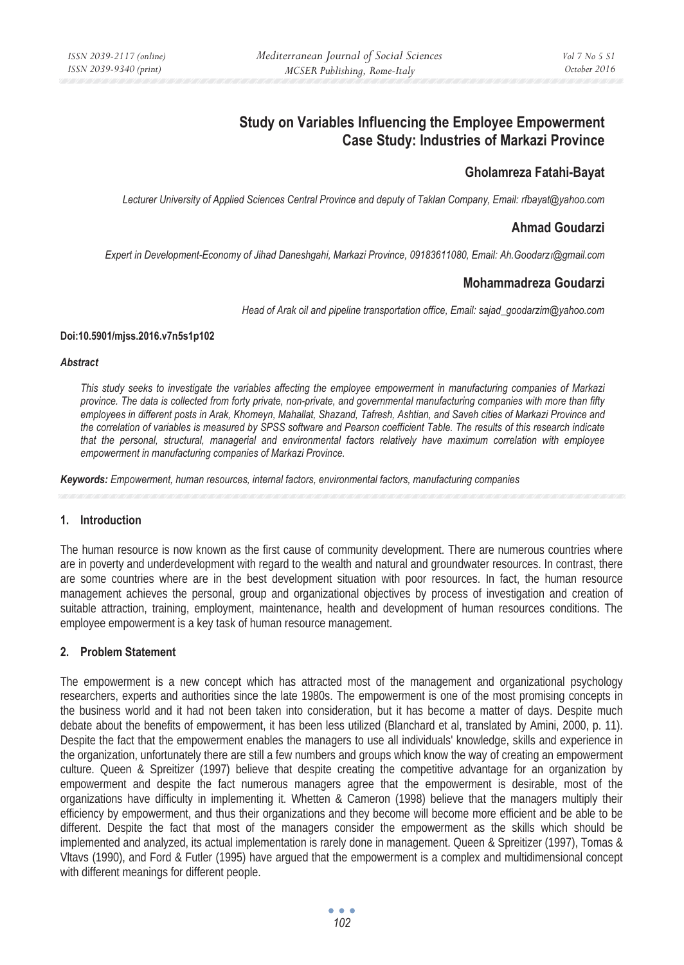# **Study on Variables Influencing the Employee Empowerment Case Study: Industries of Markazi Province**

## **Gholamreza Fatahi-Bayat**

*Lecturer University of Applied Sciences Central Province and deputy of Taklan Company, Email: rfbayat@yahoo.com* 

## **Ahmad Goudarzi**

*Expert in Development-Economy of Jihad Daneshgahi, Markazi Province, 09183611080, Email: Ah.GoodarzÕ@gmail.com* 

#### **Mohammadreza Goudarzi**

*Head of Arak oil and pipeline transportation office, Email: sajad\_goodarzim@yahoo.com* 

#### **Doi:10.5901/mjss.2016.v7n5s1p102**

#### *Abstract*

*This study seeks to investigate the variables affecting the employee empowerment in manufacturing companies of Markazi province. The data is collected from forty private, non-private, and governmental manufacturing companies with more than fifty employees in different posts in Arak, Khomeyn, Mahallat, Shazand, Tafresh, Ashtian, and Saveh cities of Markazi Province and the correlation of variables is measured by SPSS software and Pearson coefficient Table. The results of this research indicate that the personal, structural, managerial and environmental factors relatively have maximum correlation with employee empowerment in manufacturing companies of Markazi Province.* 

*Keywords: Empowerment, human resources, internal factors, environmental factors, manufacturing companies* 

#### **1. Introduction**

The human resource is now known as the first cause of community development. There are numerous countries where are in poverty and underdevelopment with regard to the wealth and natural and groundwater resources. In contrast, there are some countries where are in the best development situation with poor resources. In fact, the human resource management achieves the personal, group and organizational objectives by process of investigation and creation of suitable attraction, training, employment, maintenance, health and development of human resources conditions. The employee empowerment is a key task of human resource management.

#### **2. Problem Statement**

The empowerment is a new concept which has attracted most of the management and organizational psychology researchers, experts and authorities since the late 1980s. The empowerment is one of the most promising concepts in the business world and it had not been taken into consideration, but it has become a matter of days. Despite much debate about the benefits of empowerment, it has been less utilized (Blanchard et al, translated by Amini, 2000, p. 11). Despite the fact that the empowerment enables the managers to use all individuals' knowledge, skills and experience in the organization, unfortunately there are still a few numbers and groups which know the way of creating an empowerment culture. Queen & Spreitizer (1997) believe that despite creating the competitive advantage for an organization by empowerment and despite the fact numerous managers agree that the empowerment is desirable, most of the organizations have difficulty in implementing it. Whetten & Cameron (1998) believe that the managers multiply their efficiency by empowerment, and thus their organizations and they become will become more efficient and be able to be different. Despite the fact that most of the managers consider the empowerment as the skills which should be implemented and analyzed, its actual implementation is rarely done in management. Queen & Spreitizer (1997), Tomas & Vltavs (1990), and Ford & Futler (1995) have argued that the empowerment is a complex and multidimensional concept with different meanings for different people.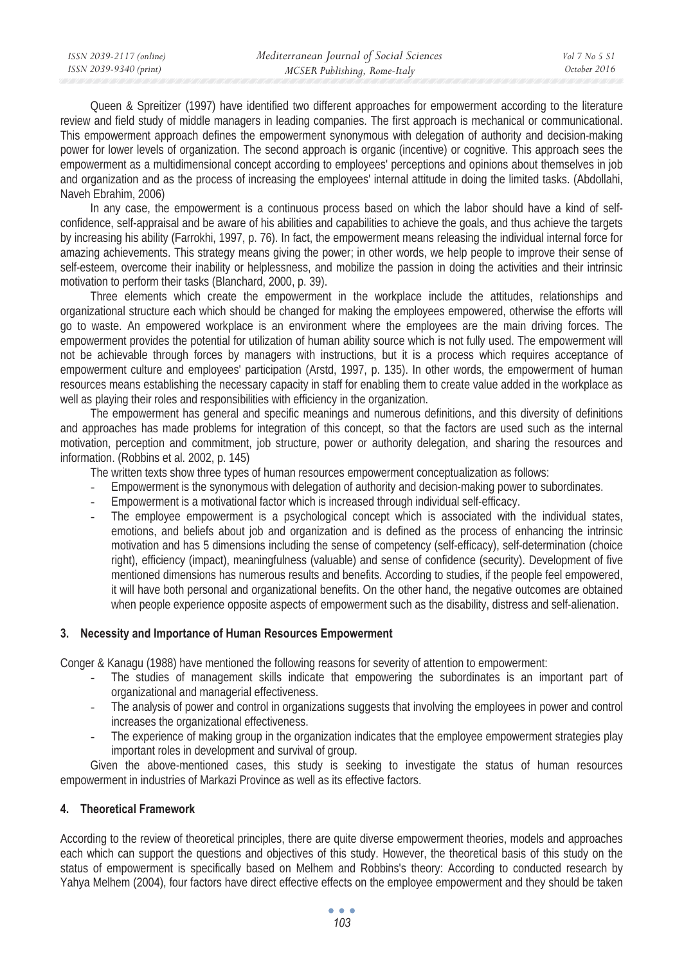Queen & Spreitizer (1997) have identified two different approaches for empowerment according to the literature review and field study of middle managers in leading companies. The first approach is mechanical or communicational. This empowerment approach defines the empowerment synonymous with delegation of authority and decision-making power for lower levels of organization. The second approach is organic (incentive) or cognitive. This approach sees the empowerment as a multidimensional concept according to employees' perceptions and opinions about themselves in job and organization and as the process of increasing the employees' internal attitude in doing the limited tasks. (Abdollahi, Naveh Ebrahim, 2006)

In any case, the empowerment is a continuous process based on which the labor should have a kind of selfconfidence, self-appraisal and be aware of his abilities and capabilities to achieve the goals, and thus achieve the targets by increasing his ability (Farrokhi, 1997, p. 76). In fact, the empowerment means releasing the individual internal force for amazing achievements. This strategy means giving the power; in other words, we help people to improve their sense of self-esteem, overcome their inability or helplessness, and mobilize the passion in doing the activities and their intrinsic motivation to perform their tasks (Blanchard, 2000, p. 39).

Three elements which create the empowerment in the workplace include the attitudes, relationships and organizational structure each which should be changed for making the employees empowered, otherwise the efforts will go to waste. An empowered workplace is an environment where the employees are the main driving forces. The empowerment provides the potential for utilization of human ability source which is not fully used. The empowerment will not be achievable through forces by managers with instructions, but it is a process which requires acceptance of empowerment culture and employees' participation (Arstd, 1997, p. 135). In other words, the empowerment of human resources means establishing the necessary capacity in staff for enabling them to create value added in the workplace as well as playing their roles and responsibilities with efficiency in the organization.

The empowerment has general and specific meanings and numerous definitions, and this diversity of definitions and approaches has made problems for integration of this concept, so that the factors are used such as the internal motivation, perception and commitment, job structure, power or authority delegation, and sharing the resources and information. (Robbins et al. 2002, p. 145)

The written texts show three types of human resources empowerment conceptualization as follows:

- Empowerment is the synonymous with delegation of authority and decision-making power to subordinates.
- Empowerment is a motivational factor which is increased through individual self-efficacy.
- The employee empowerment is a psychological concept which is associated with the individual states, emotions, and beliefs about job and organization and is defined as the process of enhancing the intrinsic motivation and has 5 dimensions including the sense of competency (self-efficacy), self-determination (choice right), efficiency (impact), meaningfulness (valuable) and sense of confidence (security). Development of five mentioned dimensions has numerous results and benefits. According to studies, if the people feel empowered, it will have both personal and organizational benefits. On the other hand, the negative outcomes are obtained when people experience opposite aspects of empowerment such as the disability, distress and self-alienation.

#### **3. Necessity and Importance of Human Resources Empowerment**

Conger & Kanagu (1988) have mentioned the following reasons for severity of attention to empowerment:

- The studies of management skills indicate that empowering the subordinates is an important part of organizational and managerial effectiveness.
- The analysis of power and control in organizations suggests that involving the employees in power and control increases the organizational effectiveness.
- The experience of making group in the organization indicates that the employee empowerment strategies play important roles in development and survival of group.

Given the above-mentioned cases, this study is seeking to investigate the status of human resources empowerment in industries of Markazi Province as well as its effective factors.

## **4. Theoretical Framework**

According to the review of theoretical principles, there are quite diverse empowerment theories, models and approaches each which can support the questions and objectives of this study. However, the theoretical basis of this study on the status of empowerment is specifically based on Melhem and Robbins's theory: According to conducted research by Yahya Melhem (2004), four factors have direct effective effects on the employee empowerment and they should be taken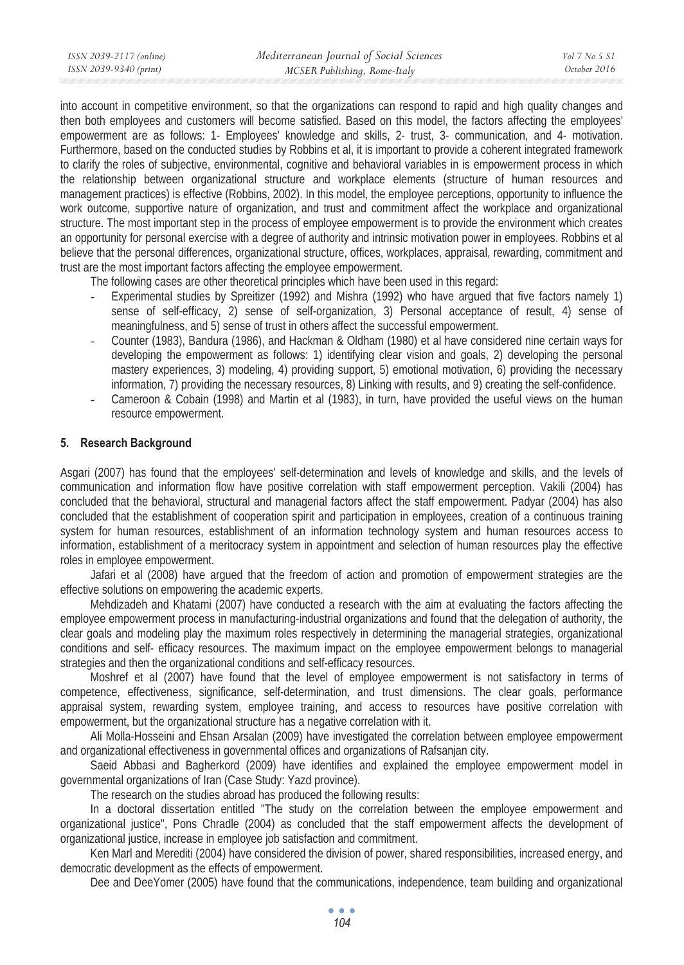| ISSN 2039-2117 (online) | Mediterranean Journal of Social Sciences | Vol 7 No 5 S1 |
|-------------------------|------------------------------------------|---------------|
| ISSN 2039-9340 (print)  | MCSER Publishing, Rome-Italy             | October 2016  |

into account in competitive environment, so that the organizations can respond to rapid and high quality changes and then both employees and customers will become satisfied. Based on this model, the factors affecting the employees' empowerment are as follows: 1- Employees' knowledge and skills, 2- trust, 3- communication, and 4- motivation. Furthermore, based on the conducted studies by Robbins et al, it is important to provide a coherent integrated framework to clarify the roles of subjective, environmental, cognitive and behavioral variables in is empowerment process in which the relationship between organizational structure and workplace elements (structure of human resources and management practices) is effective (Robbins, 2002). In this model, the employee perceptions, opportunity to influence the work outcome, supportive nature of organization, and trust and commitment affect the workplace and organizational structure. The most important step in the process of employee empowerment is to provide the environment which creates an opportunity for personal exercise with a degree of authority and intrinsic motivation power in employees. Robbins et al believe that the personal differences, organizational structure, offices, workplaces, appraisal, rewarding, commitment and trust are the most important factors affecting the employee empowerment.

The following cases are other theoretical principles which have been used in this regard:

- Experimental studies by Spreitizer (1992) and Mishra (1992) who have argued that five factors namely 1) sense of self-efficacy, 2) sense of self-organization, 3) Personal acceptance of result, 4) sense of meaningfulness, and 5) sense of trust in others affect the successful empowerment.
- Counter (1983), Bandura (1986), and Hackman & Oldham (1980) et al have considered nine certain ways for developing the empowerment as follows: 1) identifying clear vision and goals, 2) developing the personal mastery experiences, 3) modeling, 4) providing support, 5) emotional motivation, 6) providing the necessary information, 7) providing the necessary resources, 8) Linking with results, and 9) creating the self-confidence.
- Cameroon & Cobain (1998) and Martin et al (1983), in turn, have provided the useful views on the human resource empowerment.

## **5. Research Background**

Asgari (2007) has found that the employees' self-determination and levels of knowledge and skills, and the levels of communication and information flow have positive correlation with staff empowerment perception. Vakili (2004) has concluded that the behavioral, structural and managerial factors affect the staff empowerment. Padyar (2004) has also concluded that the establishment of cooperation spirit and participation in employees, creation of a continuous training system for human resources, establishment of an information technology system and human resources access to information, establishment of a meritocracy system in appointment and selection of human resources play the effective roles in employee empowerment.

Jafari et al (2008) have argued that the freedom of action and promotion of empowerment strategies are the effective solutions on empowering the academic experts.

Mehdizadeh and Khatami (2007) have conducted a research with the aim at evaluating the factors affecting the employee empowerment process in manufacturing-industrial organizations and found that the delegation of authority, the clear goals and modeling play the maximum roles respectively in determining the managerial strategies, organizational conditions and self- efficacy resources. The maximum impact on the employee empowerment belongs to managerial strategies and then the organizational conditions and self-efficacy resources.

Moshref et al (2007) have found that the level of employee empowerment is not satisfactory in terms of competence, effectiveness, significance, self-determination, and trust dimensions. The clear goals, performance appraisal system, rewarding system, employee training, and access to resources have positive correlation with empowerment, but the organizational structure has a negative correlation with it.

Ali Molla-Hosseini and Ehsan Arsalan (2009) have investigated the correlation between employee empowerment and organizational effectiveness in governmental offices and organizations of Rafsanjan city.

Saeid Abbasi and Bagherkord (2009) have identifies and explained the employee empowerment model in governmental organizations of Iran (Case Study: Yazd province).

The research on the studies abroad has produced the following results:

In a doctoral dissertation entitled "The study on the correlation between the employee empowerment and organizational justice", Pons Chradle (2004) as concluded that the staff empowerment affects the development of organizational justice, increase in employee job satisfaction and commitment.

Ken Marl and Merediti (2004) have considered the division of power, shared responsibilities, increased energy, and democratic development as the effects of empowerment.

Dee and DeeYomer (2005) have found that the communications, independence, team building and organizational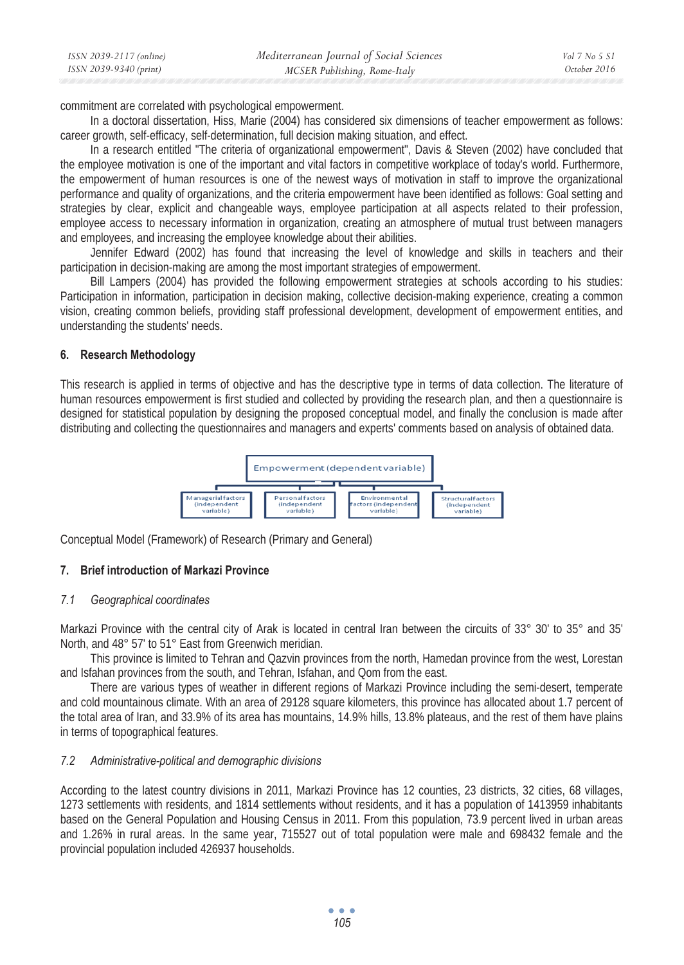| ISSN 2039-2117 (online) | Mediterranean Journal of Social Sciences | Vol 7 No 5 S1 |
|-------------------------|------------------------------------------|---------------|
| ISSN 2039-9340 (print)  | MCSER Publishing, Rome-Italy             | October 2016  |

commitment are correlated with psychological empowerment.

In a doctoral dissertation, Hiss, Marie (2004) has considered six dimensions of teacher empowerment as follows: career growth, self-efficacy, self-determination, full decision making situation, and effect.

In a research entitled "The criteria of organizational empowerment", Davis & Steven (2002) have concluded that the employee motivation is one of the important and vital factors in competitive workplace of today's world. Furthermore, the empowerment of human resources is one of the newest ways of motivation in staff to improve the organizational performance and quality of organizations, and the criteria empowerment have been identified as follows: Goal setting and strategies by clear, explicit and changeable ways, employee participation at all aspects related to their profession, employee access to necessary information in organization, creating an atmosphere of mutual trust between managers and employees, and increasing the employee knowledge about their abilities.

Jennifer Edward (2002) has found that increasing the level of knowledge and skills in teachers and their participation in decision-making are among the most important strategies of empowerment.

Bill Lampers (2004) has provided the following empowerment strategies at schools according to his studies: Participation in information, participation in decision making, collective decision-making experience, creating a common vision, creating common beliefs, providing staff professional development, development of empowerment entities, and understanding the students' needs.

#### **6. Research Methodology**

This research is applied in terms of objective and has the descriptive type in terms of data collection. The literature of human resources empowerment is first studied and collected by providing the research plan, and then a questionnaire is designed for statistical population by designing the proposed conceptual model, and finally the conclusion is made after distributing and collecting the questionnaires and managers and experts' comments based on analysis of obtained data.



Conceptual Model (Framework) of Research (Primary and General)

#### **7. Brief introduction of Markazi Province**

#### *7.1 Geographical coordinates*

Markazi Province with the central city of Arak is located in central Iran between the circuits of 33° 30' to 35° and 35' North, and 48° 57' to 51° East from Greenwich meridian.

This province is limited to Tehran and Qazvin provinces from the north, Hamedan province from the west, Lorestan and Isfahan provinces from the south, and Tehran, Isfahan, and Qom from the east.

There are various types of weather in different regions of Markazi Province including the semi-desert, temperate and cold mountainous climate. With an area of 29128 square kilometers, this province has allocated about 1.7 percent of the total area of Iran, and 33.9% of its area has mountains, 14.9% hills, 13.8% plateaus, and the rest of them have plains in terms of topographical features.

#### *7.2 Administrative-political and demographic divisions*

According to the latest country divisions in 2011, Markazi Province has 12 counties, 23 districts, 32 cities, 68 villages, 1273 settlements with residents, and 1814 settlements without residents, and it has a population of 1413959 inhabitants based on the General Population and Housing Census in 2011. From this population, 73.9 percent lived in urban areas and 1.26% in rural areas. In the same year, 715527 out of total population were male and 698432 female and the provincial population included 426937 households.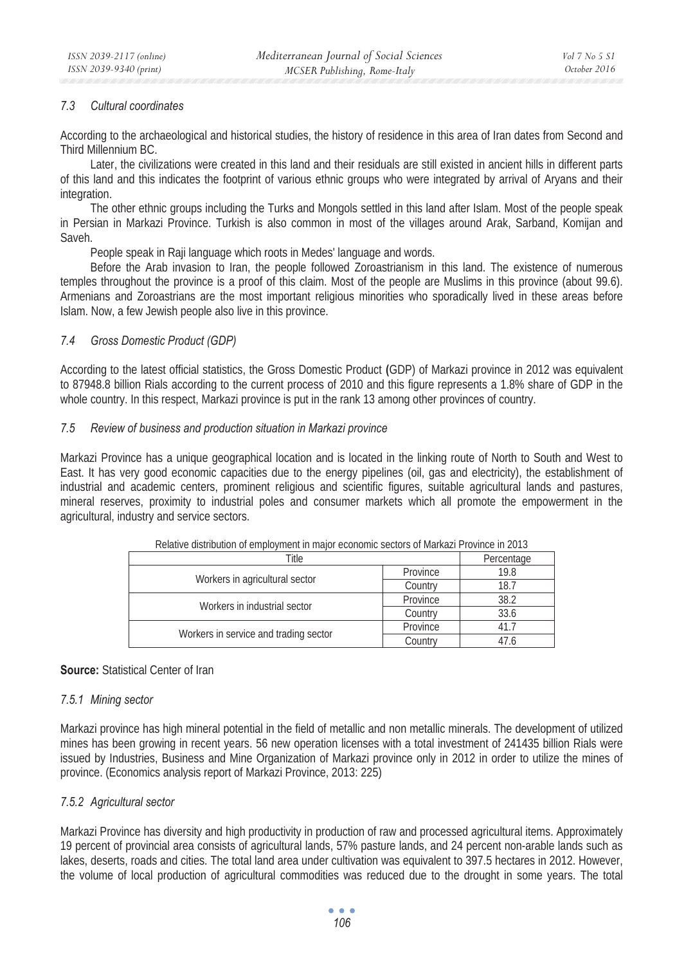#### *7.3 Cultural coordinates*

According to the archaeological and historical studies, the history of residence in this area of Iran dates from Second and Third Millennium BC.

Later, the civilizations were created in this land and their residuals are still existed in ancient hills in different parts of this land and this indicates the footprint of various ethnic groups who were integrated by arrival of Aryans and their integration.

The other ethnic groups including the Turks and Mongols settled in this land after Islam. Most of the people speak in Persian in Markazi Province. Turkish is also common in most of the villages around Arak, Sarband, Komijan and Saveh.

People speak in Raji language which roots in Medes' language and words.

Before the Arab invasion to Iran, the people followed Zoroastrianism in this land. The existence of numerous temples throughout the province is a proof of this claim. Most of the people are Muslims in this province (about 99.6). Armenians and Zoroastrians are the most important religious minorities who sporadically lived in these areas before Islam. Now, a few Jewish people also live in this province.

#### *7.4 Gross Domestic Product (GDP)*

According to the latest official statistics, the Gross Domestic Product **(**GDP) of Markazi province in 2012 was equivalent to 87948.8 billion Rials according to the current process of 2010 and this figure represents a 1.8% share of GDP in the whole country. In this respect, Markazi province is put in the rank 13 among other provinces of country.

#### *7.5 Review of business and production situation in Markazi province*

Markazi Province has a unique geographical location and is located in the linking route of North to South and West to East. It has very good economic capacities due to the energy pipelines (oil, gas and electricity), the establishment of industrial and academic centers, prominent religious and scientific figures, suitable agricultural lands and pastures, mineral reserves, proximity to industrial poles and consumer markets which all promote the empowerment in the agricultural, industry and service sectors.

| TORING MONDONION OF CHIPIO (HIGH IN HIGHER COUTONING OCCIDED OF INIGHALLY IT OVINGS IN LOTO |                                       |            |      |
|---------------------------------------------------------------------------------------------|---------------------------------------|------------|------|
| Title                                                                                       |                                       | Percentage |      |
|                                                                                             |                                       | Province   | 19.8 |
|                                                                                             | Workers in agricultural sector        |            | 18.7 |
| Workers in industrial sector                                                                |                                       | Province   | 38.2 |
|                                                                                             |                                       | Country    | 33.6 |
|                                                                                             |                                       | Province   |      |
|                                                                                             | Workers in service and trading sector |            |      |

Relative distribution of employment in major economic sectors of Markazi Province in 2013

#### **Source:** Statistical Center of Iran

#### *7.5.1 Mining sector*

Markazi province has high mineral potential in the field of metallic and non metallic minerals. The development of utilized mines has been growing in recent years. 56 new operation licenses with a total investment of 241435 billion Rials were issued by Industries, Business and Mine Organization of Markazi province only in 2012 in order to utilize the mines of province. (Economics analysis report of Markazi Province, 2013: 225)

## *7.5.2 Agricultural sector*

Markazi Province has diversity and high productivity in production of raw and processed agricultural items. Approximately 19 percent of provincial area consists of agricultural lands, 57% pasture lands, and 24 percent non-arable lands such as lakes, deserts, roads and cities. The total land area under cultivation was equivalent to 397.5 hectares in 2012. However, the volume of local production of agricultural commodities was reduced due to the drought in some years. The total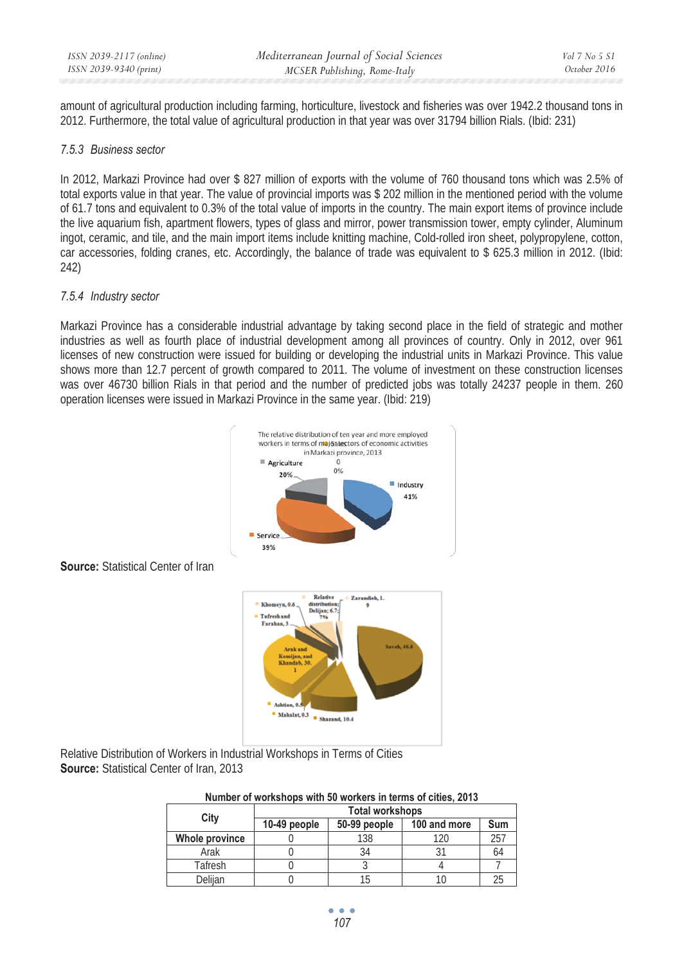amount of agricultural production including farming, horticulture, livestock and fisheries was over 1942.2 thousand tons in 2012. Furthermore, the total value of agricultural production in that year was over 31794 billion Rials. (Ibid: 231)

#### *7.5.3 Business sector*

In 2012, Markazi Province had over \$ 827 million of exports with the volume of 760 thousand tons which was 2.5% of total exports value in that year. The value of provincial imports was \$ 202 million in the mentioned period with the volume of 61.7 tons and equivalent to 0.3% of the total value of imports in the country. The main export items of province include the live aquarium fish, apartment flowers, types of glass and mirror, power transmission tower, empty cylinder, Aluminum ingot, ceramic, and tile, and the main import items include knitting machine, Cold-rolled iron sheet, polypropylene, cotton, car accessories, folding cranes, etc. Accordingly, the balance of trade was equivalent to \$ 625.3 million in 2012. (Ibid: 242)

#### *7.5.4 Industry sector*

Markazi Province has a considerable industrial advantage by taking second place in the field of strategic and mother industries as well as fourth place of industrial development among all provinces of country. Only in 2012, over 961 licenses of new construction were issued for building or developing the industrial units in Markazi Province. This value shows more than 12.7 percent of growth compared to 2011. The volume of investment on these construction licenses was over 46730 billion Rials in that period and the number of predicted jobs was totally 24237 people in them. 260 operation licenses were issued in Markazi Province in the same year. (Ibid: 219)



**Source:** Statistical Center of Iran

Relative Distribution of Workers in Industrial Workshops in Terms of Cities **Source:** Statistical Center of Iran, 2013

| Number of workshops with 50 workers in terms of cities, 2013 |  |  |  |  |
|--------------------------------------------------------------|--|--|--|--|
|--------------------------------------------------------------|--|--|--|--|

|                | <b>Total workshops</b> |              |              |              |
|----------------|------------------------|--------------|--------------|--------------|
| City           | 10-49 people           | 50-99 people | 100 and more | Sum          |
| Whole province |                        | 138          | 120          | $25^{\circ}$ |
| Arak           |                        | 34           |              | 64           |
| Tafresh        |                        |              |              |              |
| Delijan        |                        |              |              | 2            |

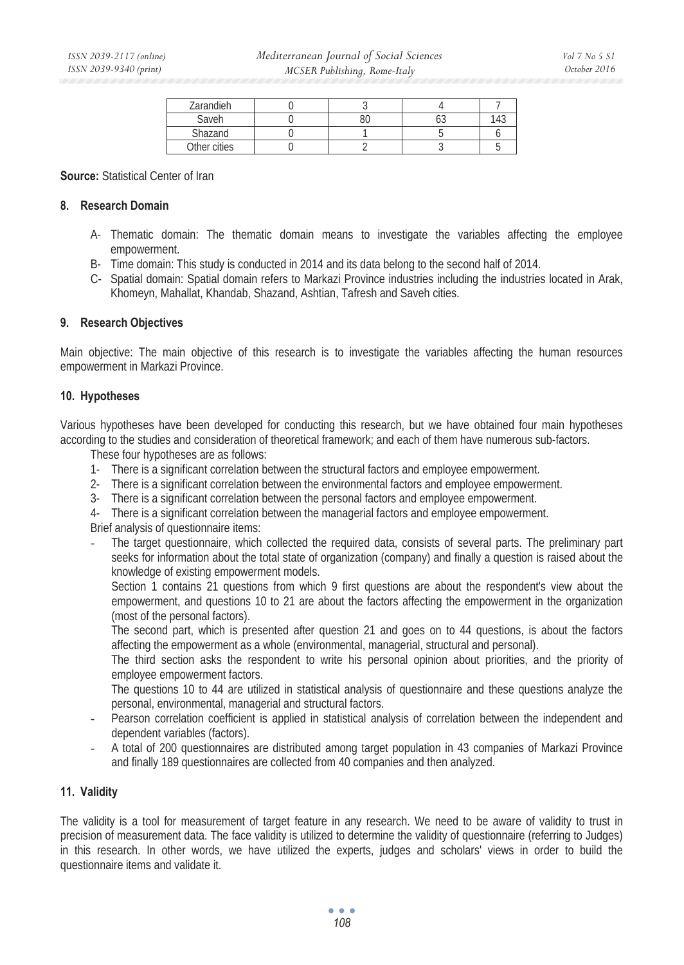| Zarandieh    |    |    |     |
|--------------|----|----|-----|
| Saveh        | 80 | UJ | 143 |
| Shazand      |    |    |     |
| Other cities |    |    |     |

**Source:** Statistical Center of Iran

#### **8. Research Domain**

- A- Thematic domain: The thematic domain means to investigate the variables affecting the employee empowerment.
- B- Time domain: This study is conducted in 2014 and its data belong to the second half of 2014.
- C- Spatial domain: Spatial domain refers to Markazi Province industries including the industries located in Arak, Khomeyn, Mahallat, Khandab, Shazand, Ashtian, Tafresh and Saveh cities.

#### **9. Research Objectives**

Main objective: The main objective of this research is to investigate the variables affecting the human resources empowerment in Markazi Province.

#### **10. Hypotheses**

Various hypotheses have been developed for conducting this research, but we have obtained four main hypotheses according to the studies and consideration of theoretical framework; and each of them have numerous sub-factors.

These four hypotheses are as follows:

- 1- There is a significant correlation between the structural factors and employee empowerment.
- 2- There is a significant correlation between the environmental factors and employee empowerment.
- 3- There is a significant correlation between the personal factors and employee empowerment.
- 4- There is a significant correlation between the managerial factors and employee empowerment.

Brief analysis of questionnaire items:

- The target questionnaire, which collected the required data, consists of several parts. The preliminary part seeks for information about the total state of organization (company) and finally a question is raised about the knowledge of existing empowerment models.

Section 1 contains 21 questions from which 9 first questions are about the respondent's view about the empowerment, and questions 10 to 21 are about the factors affecting the empowerment in the organization (most of the personal factors).

The second part, which is presented after question 21 and goes on to 44 questions, is about the factors affecting the empowerment as a whole (environmental, managerial, structural and personal).

The third section asks the respondent to write his personal opinion about priorities, and the priority of employee empowerment factors.

The questions 10 to 44 are utilized in statistical analysis of questionnaire and these questions analyze the personal, environmental, managerial and structural factors.

- Pearson correlation coefficient is applied in statistical analysis of correlation between the independent and dependent variables (factors).
- A total of 200 questionnaires are distributed among target population in 43 companies of Markazi Province and finally 189 questionnaires are collected from 40 companies and then analyzed.

#### **11. Validity**

The validity is a tool for measurement of target feature in any research. We need to be aware of validity to trust in precision of measurement data. The face validity is utilized to determine the validity of questionnaire (referring to Judges) in this research. In other words, we have utilized the experts, judges and scholars' views in order to build the questionnaire items and validate it.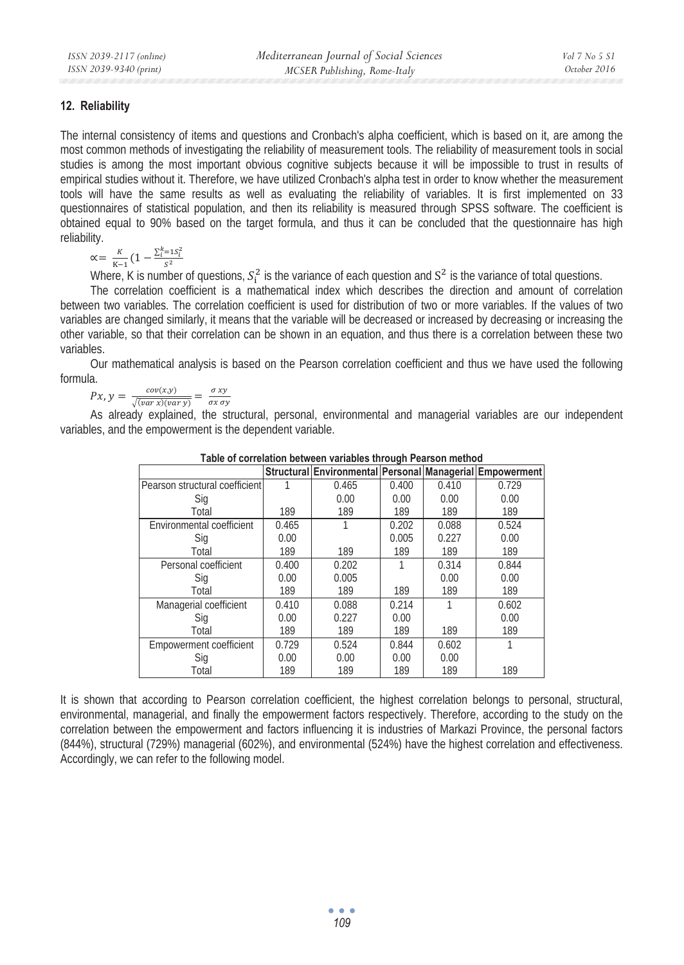#### **12. Reliability**

The internal consistency of items and questions and Cronbach's alpha coefficient, which is based on it, are among the most common methods of investigating the reliability of measurement tools. The reliability of measurement tools in social studies is among the most important obvious cognitive subjects because it will be impossible to trust in results of empirical studies without it. Therefore, we have utilized Cronbach's alpha test in order to know whether the measurement tools will have the same results as well as evaluating the reliability of variables. It is first implemented on 33 questionnaires of statistical population, and then its reliability is measured through SPSS software. The coefficient is obtained equal to 90% based on the target formula, and thus it can be concluded that the questionnaire has high reliability.

$$
\alpha = \frac{K}{K-1} \left( 1 - \frac{\sum_{i=1}^{k} S_i^2}{S^2} \right)
$$

Where, K is number of questions,  $S_i^2$  is the variance of each question and  $S^2$  is the variance of total questions.

The correlation coefficient is a mathematical index which describes the direction and amount of correlation between two variables. The correlation coefficient is used for distribution of two or more variables. If the values of two variables are changed similarly, it means that the variable will be decreased or increased by decreasing or increasing the other variable, so that their correlation can be shown in an equation, and thus there is a correlation between these two variables.

Our mathematical analysis is based on the Pearson correlation coefficient and thus we have used the following formula.

 $Px, y = \frac{cov(x, y)}{\sqrt{(var x)(var y)}} = \frac{\sigma xy}{\sigma x \sigma y}$ 

As already explained, the structural, personal, environmental and managerial variables are our independent variables, and the empowerment is the dependent variable.

| <b>I ADIC OF COLLCIATION DELWECH VAHADICS LINOUGH F CALSON MICLIOU</b> |       |                                                          |       |       |       |
|------------------------------------------------------------------------|-------|----------------------------------------------------------|-------|-------|-------|
|                                                                        |       | Structural Environmental Personal Managerial Empowerment |       |       |       |
| Pearson structural coefficient                                         |       | 0.465                                                    | 0.400 | 0.410 | 0.729 |
| Sig                                                                    |       | 0.00                                                     | 0.00  | 0.00  | 0.00  |
| Total                                                                  | 189   | 189                                                      | 189   | 189   | 189   |
| Environmental coefficient                                              | 0.465 |                                                          | 0.202 | 0.088 | 0.524 |
| Sig                                                                    | 0.00  |                                                          | 0.005 | 0.227 | 0.00  |
| Total                                                                  | 189   | 189                                                      | 189   | 189   | 189   |
| Personal coefficient                                                   | 0.400 | 0.202                                                    |       | 0.314 | 0.844 |
| Sig                                                                    | 0.00  | 0.005                                                    |       | 0.00  | 0.00  |
| Total                                                                  | 189   | 189                                                      | 189   | 189   | 189   |
| Managerial coefficient                                                 | 0.410 | 0.088                                                    | 0.214 |       | 0.602 |
| Sig                                                                    | 0.00  | 0.227                                                    | 0.00  |       | 0.00  |
| Total                                                                  | 189   | 189                                                      | 189   | 189   | 189   |
| Empowerment coefficient                                                | 0.729 | 0.524                                                    | 0.844 | 0.602 |       |
| Sig                                                                    | 0.00  | 0.00                                                     | 0.00  | 0.00  |       |
| Total                                                                  | 189   | 189                                                      | 189   | 189   | 189   |

**Table of correlation between variables through Pearson method** 

It is shown that according to Pearson correlation coefficient, the highest correlation belongs to personal, structural, environmental, managerial, and finally the empowerment factors respectively. Therefore, according to the study on the correlation between the empowerment and factors influencing it is industries of Markazi Province, the personal factors (844%), structural (729%) managerial (602%), and environmental (524%) have the highest correlation and effectiveness. Accordingly, we can refer to the following model.